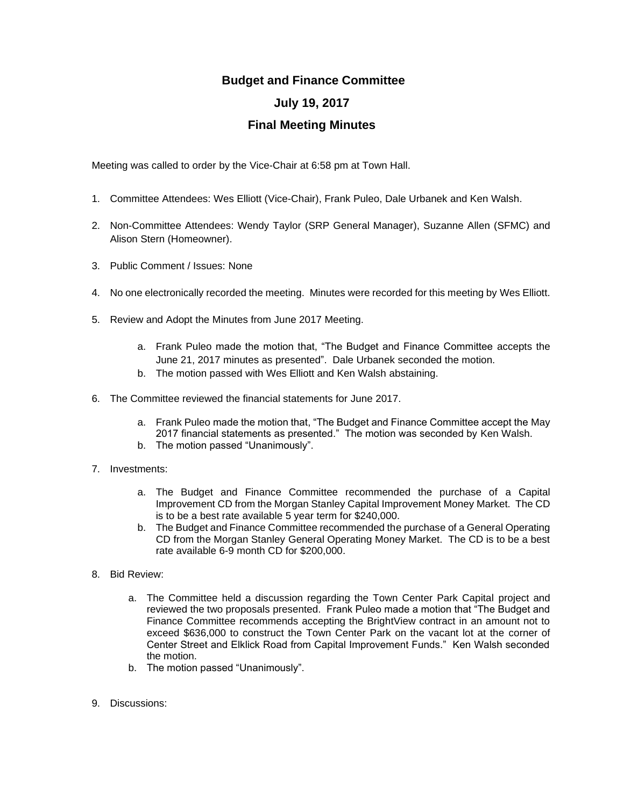## **Budget and Finance Committee July 19, 2017 Final Meeting Minutes**

Meeting was called to order by the Vice-Chair at 6:58 pm at Town Hall.

- 1. Committee Attendees: Wes Elliott (Vice-Chair), Frank Puleo, Dale Urbanek and Ken Walsh.
- 2. Non-Committee Attendees: Wendy Taylor (SRP General Manager), Suzanne Allen (SFMC) and Alison Stern (Homeowner).
- 3. Public Comment / Issues: None
- 4. No one electronically recorded the meeting. Minutes were recorded for this meeting by Wes Elliott.
- 5. Review and Adopt the Minutes from June 2017 Meeting.
	- a. Frank Puleo made the motion that, "The Budget and Finance Committee accepts the June 21, 2017 minutes as presented". Dale Urbanek seconded the motion.
	- b. The motion passed with Wes Elliott and Ken Walsh abstaining.
- 6. The Committee reviewed the financial statements for June 2017.
	- a. Frank Puleo made the motion that, "The Budget and Finance Committee accept the May 2017 financial statements as presented." The motion was seconded by Ken Walsh.
	- b. The motion passed "Unanimously".
- 7. Investments:
	- a. The Budget and Finance Committee recommended the purchase of a Capital Improvement CD from the Morgan Stanley Capital Improvement Money Market. The CD is to be a best rate available 5 year term for \$240,000.
	- b. The Budget and Finance Committee recommended the purchase of a General Operating CD from the Morgan Stanley General Operating Money Market. The CD is to be a best rate available 6-9 month CD for \$200,000.
- 8. Bid Review:
	- a. The Committee held a discussion regarding the Town Center Park Capital project and reviewed the two proposals presented. Frank Puleo made a motion that "The Budget and Finance Committee recommends accepting the BrightView contract in an amount not to exceed \$636,000 to construct the Town Center Park on the vacant lot at the corner of Center Street and Elklick Road from Capital Improvement Funds." Ken Walsh seconded the motion.
	- b. The motion passed "Unanimously".
- 9. Discussions: